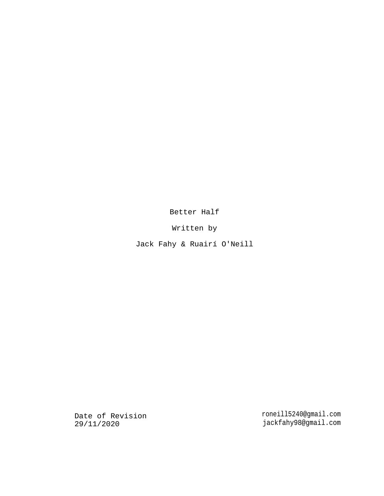Better Half

Written by

Jack Fahy & Ruairí O'Neill

Date of Revision 29/11/2020

roneill5240@gmail.com jackfahy98@gmail.com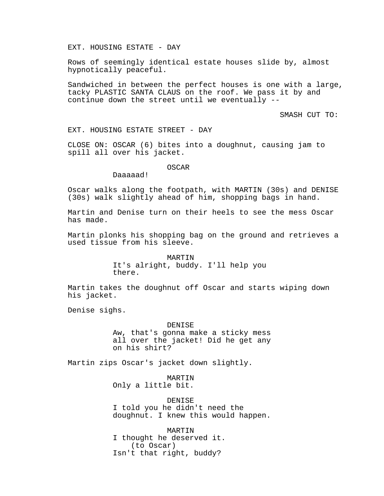# EXT. HOUSING ESTATE - DAY

Rows of seemingly identical estate houses slide by, almost hypnotically peaceful.

Sandwiched in between the perfect houses is one with a large, tacky PLASTIC SANTA CLAUS on the roof. We pass it by and continue down the street until we eventually --

SMASH CUT TO:

EXT. HOUSING ESTATE STREET - DAY

CLOSE ON: OSCAR (6) bites into a doughnut, causing jam to spill all over his jacket.

## OSCAR

Daaaaad!

Oscar walks along the footpath, with MARTIN (30s) and DENISE (30s) walk slightly ahead of him, shopping bags in hand.

Martin and Denise turn on their heels to see the mess Oscar has made.

Martin plonks his shopping bag on the ground and retrieves a used tissue from his sleeve.

> MARTIN It's alright, buddy. I'll help you there.

Martin takes the doughnut off Oscar and starts wiping down his jacket.

Denise sighs.

## DENISE

Aw, that's gonna make a sticky mess all over the jacket! Did he get any on his shirt?

Martin zips Oscar's jacket down slightly.

MARTIN Only a little bit.

DENISE I told you he didn't need the doughnut. I knew this would happen.

MARTIN I thought he deserved it. (to Oscar) Isn't that right, buddy?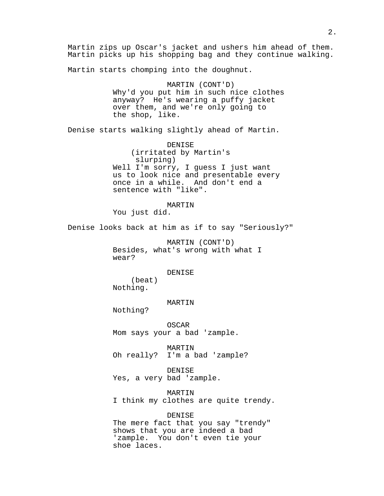Martin zips up Oscar's jacket and ushers him ahead of them. Martin picks up his shopping bag and they continue walking. Martin starts chomping into the doughnut. MARTIN (CONT'D) Why'd you put him in such nice clothes anyway? He's wearing a puffy jacket over them, and we're only going to the shop, like. Denise starts walking slightly ahead of Martin. DENISE (irritated by Martin's slurping) Well I'm sorry, I guess I just want us to look nice and presentable every once in a while. And don't end a sentence with "like". MARTIN You just did. Denise looks back at him as if to say "Seriously?" MARTIN (CONT'D) Besides, what's wrong with what I wear? DENISE (beat) Nothing. MARTIN Nothing? OSCAR Mom says your a bad 'zample. MARTIN Oh really? I'm a bad 'zample? DENISE Yes, a very bad 'zample. MARTIN I think my clothes are quite trendy. DENISE The mere fact that you say "trendy" shows that you are indeed a bad 'zample. You don't even tie your shoe laces.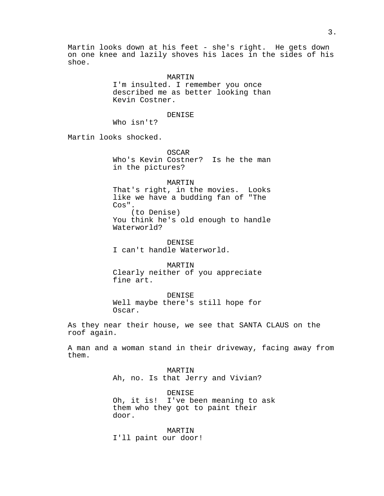Martin looks down at his feet - she's right. He gets down on one knee and lazily shoves his laces in the sides of his shoe.

> MARTIN I'm insulted. I remember you once described me as better looking than Kevin Costner.

## DENISE

Who isn't?

Martin looks shocked.

OSCAR Who's Kevin Costner? Is he the man in the pictures?

## MARTIN

That's right, in the movies. Looks like we have a budding fan of "The Cos". (to Denise) You think he's old enough to handle Waterworld?

DENISE I can't handle Waterworld.

MARTIN Clearly neither of you appreciate fine art.

DENISE Well maybe there's still hope for Oscar.

As they near their house, we see that SANTA CLAUS on the roof again.

A man and a woman stand in their driveway, facing away from them.

> MARTIN Ah, no. Is that Jerry and Vivian?

DENISE Oh, it is! I've been meaning to ask them who they got to paint their door.

MARTIN I'll paint our door!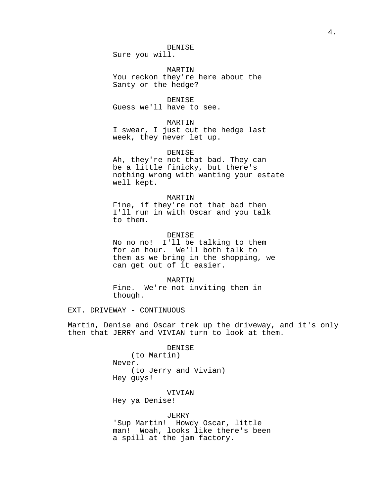# DENISE

Sure you will.

MARTIN You reckon they're here about the Santy or the hedge?

DENISE Guess we'll have to see.

#### MARTIN

I swear, I just cut the hedge last week, they never let up.

## DENISE

Ah, they're not that bad. They can be a little finicky, but there's nothing wrong with wanting your estate well kept.

### MARTIN

Fine, if they're not that bad then I'll run in with Oscar and you talk to them.

# DENISE

No no no! I'll be talking to them for an hour. We'll both talk to them as we bring in the shopping, we can get out of it easier.

#### MARTIN

Fine. We're not inviting them in though.

EXT. DRIVEWAY - CONTINUOUS

Martin, Denise and Oscar trek up the driveway, and it's only then that JERRY and VIVIAN turn to look at them.

> DENISE (to Martin) Never. (to Jerry and Vivian) Hey guys!

VIVIAN Hey ya Denise!

# JERRY

'Sup Martin! Howdy Oscar, little man! Woah, looks like there's been a spill at the jam factory.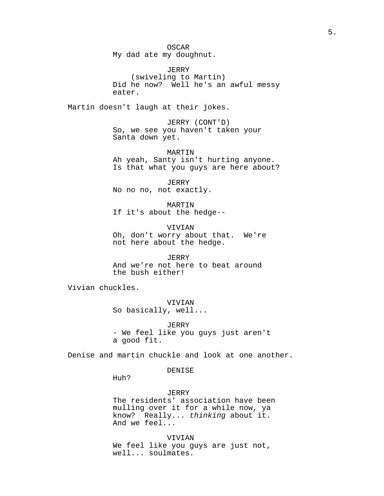OSCAR My dad ate my doughnut.

JERRY (swiveling to Martin) Did he now? Well he's an awful messy eater.

Martin doesn't laugh at their jokes.

JERRY (CONT'D) So, we see you haven't taken your Santa down yet.

MARTIN Ah yeah, Santy isn't hurting anyone. Is that what you guys are here about?

JERRY No no no, not exactly.

MARTIN If it's about the hedge--

VIVIAN Oh, don't worry about that. We're not here about the hedge.

JERRY And we're not here to beat around the bush either!

Vivian chuckles.

VIVIAN So basically, well...

JERRY - We feel like you guys just aren't a good fit.

Denise and martin chuckle and look at one another.

DENISE

Huh?

JERRY The residents' association have been mulling over it for a while now, ya know? Really... thinking about it. And we feel...

VIVIAN We feel like you guys are just not, well... soulmates.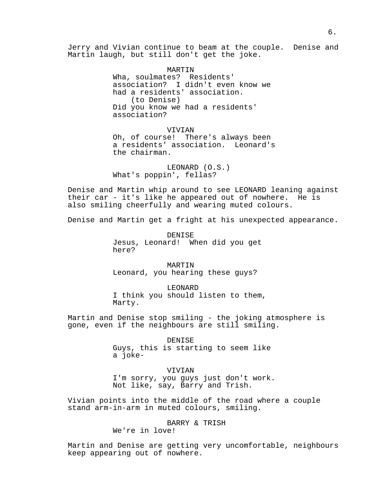Jerry and Vivian continue to beam at the couple. Denise and Martin laugh, but still don't get the joke.

> MARTIN Wha, soulmates? Residents' association? I didn't even know we had a residents' association. (to Denise) Did you know we had a residents' association?

VIVIAN Oh, of course! There's always been a residents' association. Leonard's the chairman.

LEONARD (O.S.) What's poppin', fellas?

Denise and Martin whip around to see LEONARD leaning against their car - it's like he appeared out of nowhere. He is also smiling cheerfully and wearing muted colours.

Denise and Martin get a fright at his unexpected appearance.

DENISE Jesus, Leonard! When did you get here?

MARTIN Leonard, you hearing these guys?

LEONARD I think you should listen to them, Marty.

Martin and Denise stop smiling - the joking atmosphere is gone, even if the neighbours are still smiling.

> DENISE Guys, this is starting to seem like a joke-

VIVIAN I'm sorry, you guys just don't work. Not like, say, Barry and Trish.

Vivian points into the middle of the road where a couple stand arm-in-arm in muted colours, smiling.

BARRY & TRISH

We're in love!

Martin and Denise are getting very uncomfortable, neighbours keep appearing out of nowhere.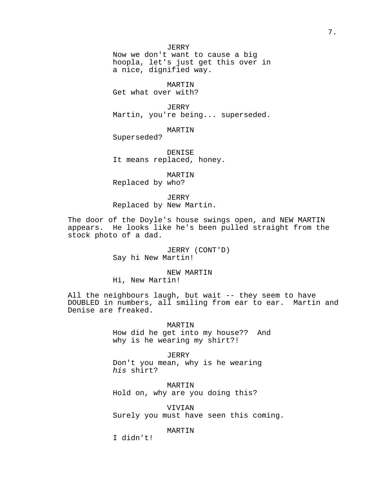JERRY

Now we don't want to cause a big hoopla, let's just get this over in a nice, dignified way.

MARTIN

Get what over with?

JERRY Martin, you're being... superseded.

MARTIN

Superseded?

DENISE It means replaced, honey.

MARTIN Replaced by who?

JERRY Replaced by New Martin.

The door of the Doyle's house swings open, and NEW MARTIN appears. He looks like he's been pulled straight from the stock photo of a dad.

> JERRY (CONT'D) Say hi New Martin!

NEW MARTIN Hi, New Martin!

All the neighbours laugh, but wait -- they seem to have DOUBLED in numbers, all smiling from ear to ear. Martin and Denise are freaked.

> MARTIN How did he get into my house?? And why is he wearing my shirt?!

JERRY Don't you mean, why is he wearing his shirt?

MARTIN Hold on, why are you doing this?

VIVIAN Surely you must have seen this coming.

MARTIN

I didn't!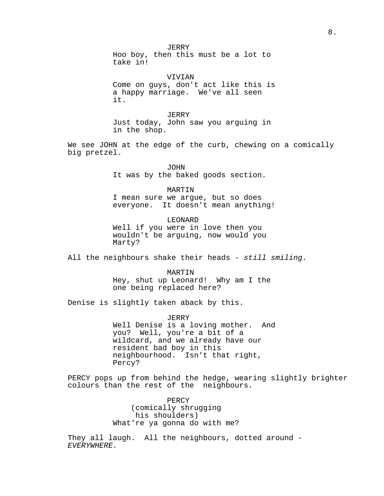JERRY Hoo boy, then this must be a lot to take in!

VIVIAN Come on guys, don't act like this is a happy marriage. We've all seen it.

JERRY Just today, John saw you arguing in in the shop.

We see JOHN at the edge of the curb, chewing on a comically big pretzel.

> JOHN It was by the baked goods section.

MARTIN I mean sure we argue, but so does everyone. It doesn't mean anything!

LEONARD Well if you were in love then you wouldn't be arguing, now would you Marty?

All the neighbours shake their heads - still smiling.

MARTIN Hey, shut up Leonard! Why am I the one being replaced here?

Denise is slightly taken aback by this.

JERRY Well Denise is a loving mother. And you? Well, you're a bit of a wildcard, and we already have our resident bad boy in this neighbourhood. Isn't that right, Percy?

PERCY pops up from behind the hedge, wearing slightly brighter colours than the rest of the neighbours.

> PERCY (comically shrugging his shoulders) What're ya gonna do with me?

They all laugh. All the neighbours, dotted around -EVERYWHERE.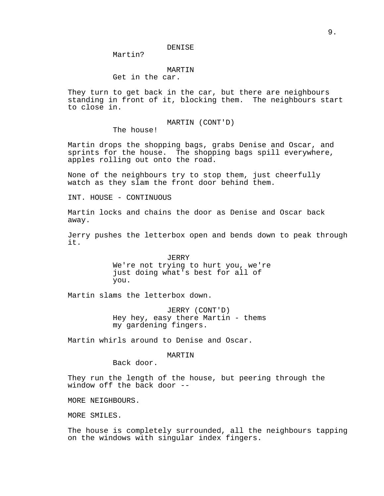Martin?

# MARTIN

Get in the car.

They turn to get back in the car, but there are neighbours standing in front of it, blocking them. The neighbours start to close in.

MARTIN (CONT'D)

The house!

Martin drops the shopping bags, grabs Denise and Oscar, and sprints for the house. The shopping bags spill everywhere, apples rolling out onto the road.

None of the neighbours try to stop them, just cheerfully watch as they slam the front door behind them.

INT. HOUSE - CONTINUOUS

Martin locks and chains the door as Denise and Oscar back away.

Jerry pushes the letterbox open and bends down to peak through it.

> JERRY We're not trying to hurt you, we're just doing what's best for all of you.

Martin slams the letterbox down.

JERRY (CONT'D) Hey hey, easy there Martin - thems my gardening fingers.

Martin whirls around to Denise and Oscar.

# MARTIN

Back door.

They run the length of the house, but peering through the window off the back door --

MORE NEIGHBOURS.

MORE SMILES.

The house is completely surrounded, all the neighbours tapping on the windows with singular index fingers.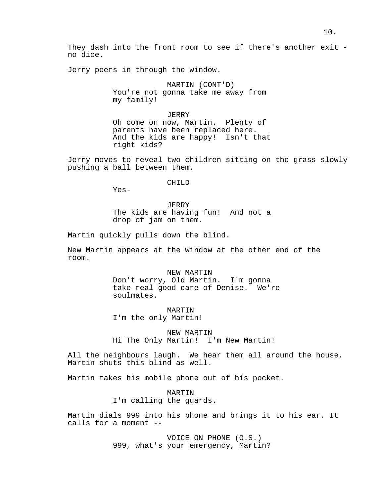They dash into the front room to see if there's another exit no dice.

Jerry peers in through the window.

MARTIN (CONT'D) You're not gonna take me away from my family!

JERRY Oh come on now, Martin. Plenty of parents have been replaced here. And the kids are happy! Isn't that right kids?

Jerry moves to reveal two children sitting on the grass slowly pushing a ball between them.

#### CHILD

Yes-

JERRY The kids are having fun! And not a drop of jam on them.

Martin quickly pulls down the blind.

New Martin appears at the window at the other end of the room.

> NEW MARTIN Don't worry, Old Martin. I'm gonna take real good care of Denise. We're soulmates.

MARTIN I'm the only Martin!

NEW MARTIN Hi The Only Martin! I'm New Martin!

All the neighbours laugh. We hear them all around the house. Martin shuts this blind as well.

Martin takes his mobile phone out of his pocket.

MARTIN I'm calling the guards.

Martin dials 999 into his phone and brings it to his ear. It calls for a moment --

> VOICE ON PHONE (O.S.) 999, what's your emergency, Martin?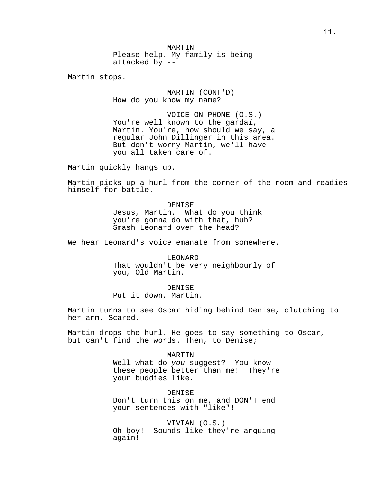MARTIN Please help. My family is being attacked by --

Martin stops.

MARTIN (CONT'D) How do you know my name?

VOICE ON PHONE (O.S.) You're well known to the gardaí, Martin. You're, how should we say, a regular John Dillinger in this area. But don't worry Martin, we'll have you all taken care of.

Martin quickly hangs up.

Martin picks up a hurl from the corner of the room and readies himself for battle.

> DENISE Jesus, Martin. What do you think you're gonna do with that, huh? Smash Leonard over the head?

We hear Leonard's voice emanate from somewhere.

LEONARD That wouldn't be very neighbourly of you, Old Martin.

DENISE Put it down, Martin.

Martin turns to see Oscar hiding behind Denise, clutching to her arm. Scared.

Martin drops the hurl. He goes to say something to Oscar, but can't find the words. Then, to Denise;

MARTIN

Well what do you suggest? You know these people better than me! They're your buddies like.

DENISE Don't turn this on me, and DON'T end your sentences with "like"!

VIVIAN (O.S.) Oh boy! Sounds like they're arguing again!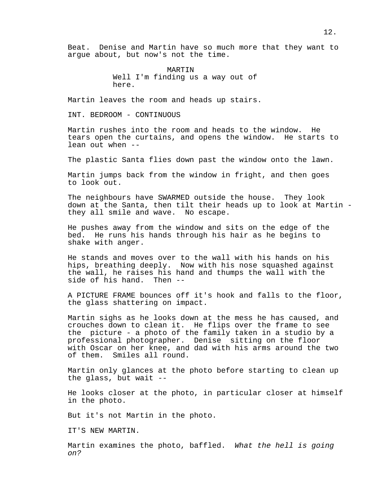Beat. Denise and Martin have so much more that they want to argue about, but now's not the time.

> MARTIN Well I'm finding us a way out of here.

Martin leaves the room and heads up stairs.

INT. BEDROOM - CONTINUOUS

Martin rushes into the room and heads to the window. He tears open the curtains, and opens the window. He starts to lean out when --

The plastic Santa flies down past the window onto the lawn.

Martin jumps back from the window in fright, and then goes to look out.

The neighbours have SWARMED outside the house. They look down at the Santa, then tilt their heads up to look at Martin they all smile and wave. No escape.

He pushes away from the window and sits on the edge of the bed. He runs his hands through his hair as he begins to shake with anger.

He stands and moves over to the wall with his hands on his hips, breathing deeply. Now with his nose squashed against the wall, he raises his hand and thumps the wall with the side of his hand. Then --

A PICTURE FRAME bounces off it's hook and falls to the floor, the glass shattering on impact.

Martin sighs as he looks down at the mess he has caused, and crouches down to clean it. He flips over the frame to see the picture - a photo of the family taken in a studio by a professional photographer. Denise sitting on the floor with Oscar on her knee, and dad with his arms around the two of them. Smiles all round.

Martin only glances at the photo before starting to clean up the glass, but wait --

He looks closer at the photo, in particular closer at himself in the photo.

But it's not Martin in the photo.

IT'S NEW MARTIN.

Martin examines the photo, baffled. What the hell is going on?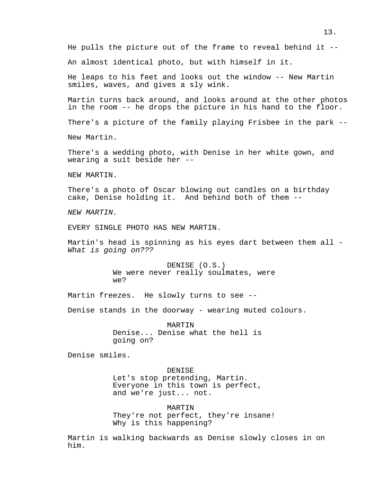He pulls the picture out of the frame to reveal behind it -- An almost identical photo, but with himself in it. He leaps to his feet and looks out the window -- New Martin smiles, waves, and gives a sly wink. Martin turns back around, and looks around at the other photos in the room -- he drops the picture in his hand to the floor. There's a picture of the family playing Frisbee in the park -- New Martin. There's a wedding photo, with Denise in her white gown, and wearing a suit beside her -- NEW MARTIN. There's a photo of Oscar blowing out candles on a birthday cake, Denise holding it. And behind both of them -- NEW MARTIN. EVERY SINGLE PHOTO HAS NEW MARTIN. Martin's head is spinning as his eyes dart between them all - What is going on??? DENISE (O.S.) We were never really soulmates, were we? Martin freezes. He slowly turns to see --Denise stands in the doorway - wearing muted colours. MARTIN Denise... Denise what the hell is going on? Denise smiles. DENISE Let's stop pretending, Martin. Everyone in this town is perfect, and we're just... not. MARTIN They're not perfect, they're insane! Why is this happening?

Martin is walking backwards as Denise slowly closes in on him.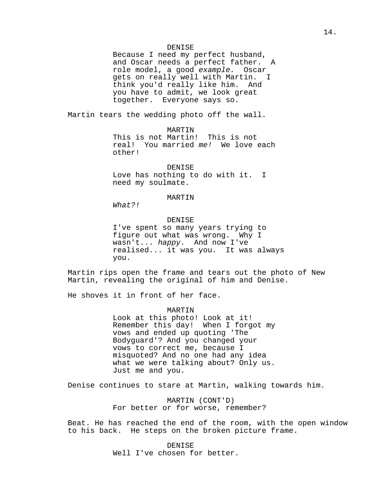Because I need my perfect husband, and Oscar needs a perfect father. A role model, a good example. Oscar gets on really well with Martin. I think you'd really like him. And you have to admit, we look great together. Everyone says so.

Martin tears the wedding photo off the wall.

MARTIN

This is not Martin! This is not real! You married me! We love each other!

## DENISE

Love has nothing to do with it. I need my soulmate.

# MARTIN

What?!

# DENISE

I've spent so many years trying to figure out what was wrong. Why I wasn't... happy. And now I've realised... it was you. It was always you.

Martin rips open the frame and tears out the photo of New Martin, revealing the original of him and Denise.

He shoves it in front of her face.

MARTIN

Look at this photo! Look at it! Remember this day! When I forgot my vows and ended up quoting 'The Bodyguard'? And you changed your vows to correct me, because I misquoted? And no one had any idea what we were talking about? Only us. Just me and you.

Denise continues to stare at Martin, walking towards him.

MARTIN (CONT'D) For better or for worse, remember?

Beat. He has reached the end of the room, with the open window to his back. He steps on the broken picture frame.

> DENISE Well I've chosen for better.